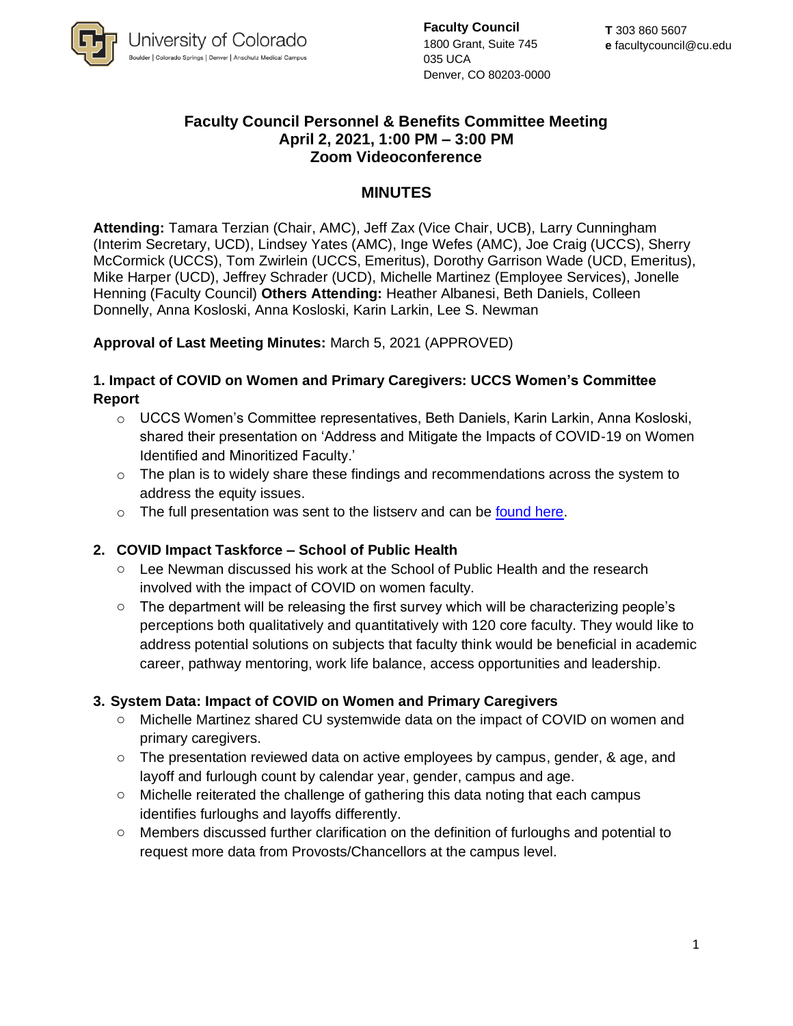

**Faculty Council** 1800 Grant, Suite 745 035 UCA Denver, CO 80203-0000

### **Faculty Council Personnel & Benefits Committee Meeting April 2, 2021, 1:00 PM – 3:00 PM Zoom Videoconference**

## **MINUTES**

**Attending:** Tamara Terzian (Chair, AMC), Jeff Zax (Vice Chair, UCB), Larry Cunningham (Interim Secretary, UCD), Lindsey Yates (AMC), Inge Wefes (AMC), Joe Craig (UCCS), Sherry McCormick (UCCS), Tom Zwirlein (UCCS, Emeritus), Dorothy Garrison Wade (UCD, Emeritus), Mike Harper (UCD), Jeffrey Schrader (UCD), Michelle Martinez (Employee Services), Jonelle Henning (Faculty Council) **Others Attending:** Heather Albanesi, Beth Daniels, Colleen Donnelly, Anna Kosloski, Anna Kosloski, Karin Larkin, Lee S. Newman

#### **Approval of Last Meeting Minutes:** March 5, 2021 (APPROVED)

### **1. Impact of COVID on Women and Primary Caregivers: UCCS Women's Committee Report**

- $\circ$  UCCS Women's Committee representatives, Beth Daniels, Karin Larkin, Anna Kosloski, shared their presentation on 'Address and Mitigate the Impacts of COVID-19 on Women Identified and Minoritized Faculty.'
- $\circ$  The plan is to widely share these findings and recommendations across the system to address the equity issues.
- o The full presentation was sent to the listsery and can be [found here.](https://uccsoffice365-my.sharepoint.com/:v:/g/personal/edaniels_uccs_edu/EUccSCmIZGZErJ1AUmPb9_UBZalnTPkjsZI3HTwgcUdSWQ?e=NyZH6I)

### **2. COVID Impact Taskforce – School of Public Health**

- o Lee Newman discussed his work at the School of Public Health and the research involved with the impact of COVID on women faculty.
- o The department will be releasing the first survey which will be characterizing people's perceptions both qualitatively and quantitatively with 120 core faculty. They would like to address potential solutions on subjects that faculty think would be beneficial in academic career, pathway mentoring, work life balance, access opportunities and leadership.

### **3. System Data: Impact of COVID on Women and Primary Caregivers**

- o Michelle Martinez shared CU systemwide data on the impact of COVID on women and primary caregivers.
- $\circ$  The presentation reviewed data on active employees by campus, gender, & age, and layoff and furlough count by calendar year, gender, campus and age.
- $\circ$  Michelle reiterated the challenge of gathering this data noting that each campus identifies furloughs and layoffs differently.
- o Members discussed further clarification on the definition of furloughs and potential to request more data from Provosts/Chancellors at the campus level.